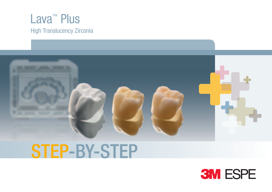

### STEP-BY-STEP

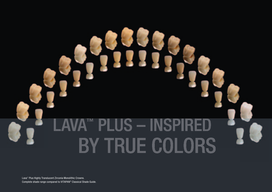# **PLUS - INSPIR** BY TRUE COLORS

Lava™ Plus Highly Translucent Zirconia Monolithic Crowns. Complete shade range compared to VITAPAN® Classical Shade Guide.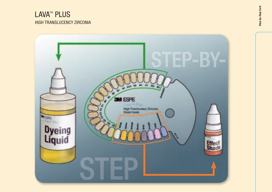#### LAVA<sup>™</sup> PLUS HIGH TRANSLUCENCY ZIRCONIA

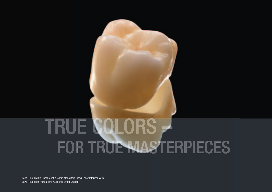# TRUE COLORS <del>,</del> FOR TRUE MASTERPIECES

Lava™ Plus Highly Translucent Zirconia Monolithic Crown, characterized with Lava™ Plus High Translucency Zirconia Effect Shades.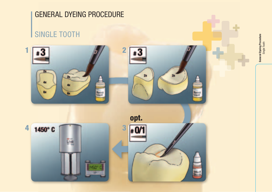### GENERAL DYEING PROCEDURE SINGLE TOOTH **General Dyeing Procedure**<br>Single Tooth General Dyeing Procedure  $1 \overline{) \cdot 3}$   $\overline{) \cdot 2}$ З 21  $\mathbf{z}$ **Av** Gr. opt. 4 1450°C 3  $\overline{M}$ Line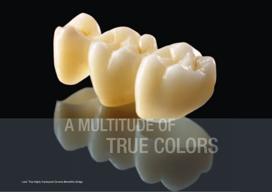# A MULTITUDE OF TRUE COLORS

Lava™ Plus Highly Translucent Zirconia Monolithic Bridge.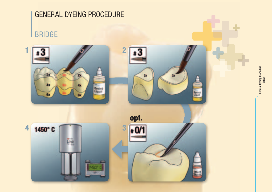

General Dyeing Procedure General Dyeing Procedure<br>Bridge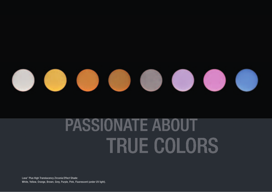

## **PASSIONATE ABOUT TRUE COLORS**

Lava™ Plus High Translucency Zirconia Effect Shade: White, Yellow, Orange, Brown, Grey, Purple, Pink, Fluorescent (under UV light).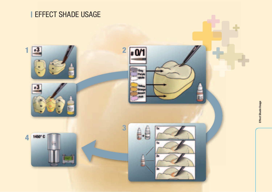#### **I EFFECT SHADE USAGE**

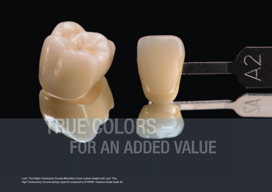# **RUE COLORS** FOR AN ADDED VALUE

Lava™ Plus Highly Translucent Zirconia Monolithic Crown custom shaded with Lava™ Plus High Translucency Zirconia Dyeing Liquid A2 compared to VITAPAN® Classical Shade Guide A2.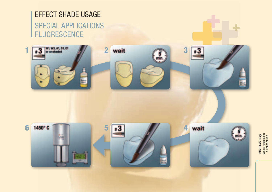### EFFECT SHADE USAGE

#### SPECIAL APPLICATIONS **FLUORESCENCE**



Effect Shade Usage<br>Special Applications<br>FLUORESCENCE Effect Shade Usage Special Applications FLUORESCENCE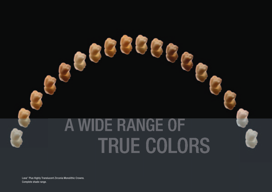# A WIDE RANGE OF TRUE COLORS

Lava™ Plus Highly Translucent Zirconia Monolithic Crowns. Complete shade range.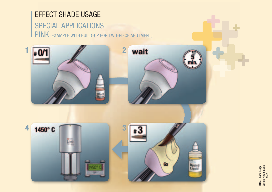#### EFFECT SHADE USAGE

#### SPECIAL APPLICATIONS PINK (EXAMPLE WITH BUILD-UP FOR TWO-PIECE ABUTMENT)



Effect Shade Usage Special Applications **Effect Shade Usage**<br>Special Applications<br>PINK